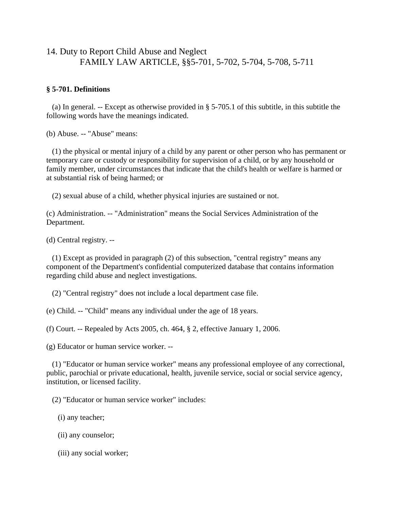# 14. Duty to Report Child Abuse and Neglect FAMILY LAW ARTICLE, §§5-701, 5-702, 5-704, 5-708, 5-711

### **§ 5-701. Definitions**

 (a) In general. -- Except as otherwise provided in § 5-705.1 of this subtitle, in this subtitle the following words have the meanings indicated.

(b) Abuse. -- "Abuse" means:

 (1) the physical or mental injury of a child by any parent or other person who has permanent or temporary care or custody or responsibility for supervision of a child, or by any household or family member, under circumstances that indicate that the child's health or welfare is harmed or at substantial risk of being harmed; or

(2) sexual abuse of a child, whether physical injuries are sustained or not.

(c) Administration. -- "Administration" means the Social Services Administration of the Department.

(d) Central registry. --

 (1) Except as provided in paragraph (2) of this subsection, "central registry" means any component of the Department's confidential computerized database that contains information regarding child abuse and neglect investigations.

(2) "Central registry" does not include a local department case file.

(e) Child. -- "Child" means any individual under the age of 18 years.

(f) Court. -- Repealed by Acts 2005, ch. 464, § 2, effective January 1, 2006.

(g) Educator or human service worker. --

 (1) "Educator or human service worker" means any professional employee of any correctional, public, parochial or private educational, health, juvenile service, social or social service agency, institution, or licensed facility.

(2) "Educator or human service worker" includes:

(i) any teacher;

(ii) any counselor;

(iii) any social worker;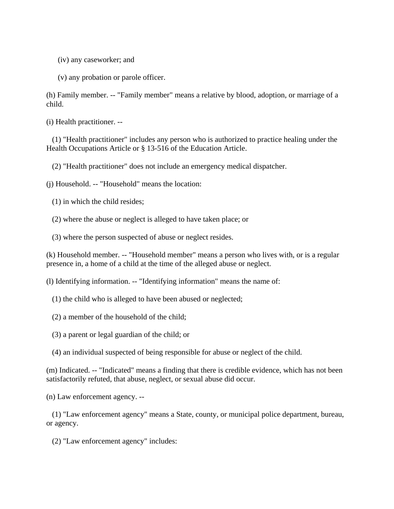(iv) any caseworker; and

(v) any probation or parole officer.

(h) Family member. -- "Family member" means a relative by blood, adoption, or marriage of a child.

(i) Health practitioner. --

 (1) "Health practitioner" includes any person who is authorized to practice healing under the Health Occupations Article or § 13-516 of the Education Article.

(2) "Health practitioner" does not include an emergency medical dispatcher.

(j) Household. -- "Household" means the location:

(1) in which the child resides;

(2) where the abuse or neglect is alleged to have taken place; or

(3) where the person suspected of abuse or neglect resides.

(k) Household member. -- "Household member" means a person who lives with, or is a regular presence in, a home of a child at the time of the alleged abuse or neglect.

(l) Identifying information. -- "Identifying information" means the name of:

- (1) the child who is alleged to have been abused or neglected;
- (2) a member of the household of the child;
- (3) a parent or legal guardian of the child; or
- (4) an individual suspected of being responsible for abuse or neglect of the child.

(m) Indicated. -- "Indicated" means a finding that there is credible evidence, which has not been satisfactorily refuted, that abuse, neglect, or sexual abuse did occur.

(n) Law enforcement agency. --

 (1) "Law enforcement agency" means a State, county, or municipal police department, bureau, or agency.

(2) "Law enforcement agency" includes: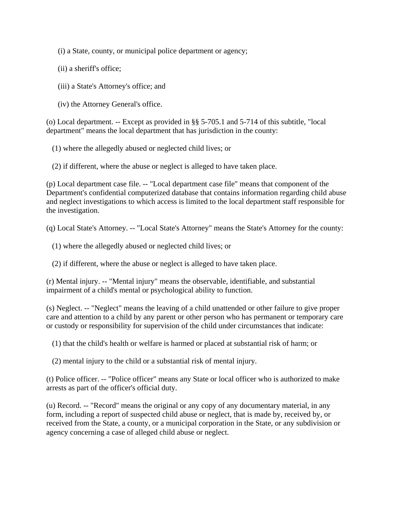(i) a State, county, or municipal police department or agency;

- (ii) a sheriff's office;
- (iii) a State's Attorney's office; and
- (iv) the Attorney General's office.

(o) Local department. -- Except as provided in §§ 5-705.1 and 5-714 of this subtitle, "local department" means the local department that has jurisdiction in the county:

(1) where the allegedly abused or neglected child lives; or

(2) if different, where the abuse or neglect is alleged to have taken place.

(p) Local department case file. -- "Local department case file" means that component of the Department's confidential computerized database that contains information regarding child abuse and neglect investigations to which access is limited to the local department staff responsible for the investigation.

(q) Local State's Attorney. -- "Local State's Attorney" means the State's Attorney for the county:

- (1) where the allegedly abused or neglected child lives; or
- (2) if different, where the abuse or neglect is alleged to have taken place.

(r) Mental injury. -- "Mental injury" means the observable, identifiable, and substantial impairment of a child's mental or psychological ability to function.

(s) Neglect. -- "Neglect" means the leaving of a child unattended or other failure to give proper care and attention to a child by any parent or other person who has permanent or temporary care or custody or responsibility for supervision of the child under circumstances that indicate:

(1) that the child's health or welfare is harmed or placed at substantial risk of harm; or

(2) mental injury to the child or a substantial risk of mental injury.

(t) Police officer. -- "Police officer" means any State or local officer who is authorized to make arrests as part of the officer's official duty.

(u) Record. -- "Record" means the original or any copy of any documentary material, in any form, including a report of suspected child abuse or neglect, that is made by, received by, or received from the State, a county, or a municipal corporation in the State, or any subdivision or agency concerning a case of alleged child abuse or neglect.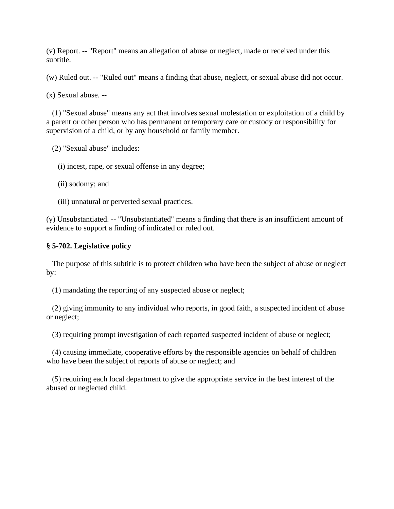(v) Report. -- "Report" means an allegation of abuse or neglect, made or received under this subtitle.

(w) Ruled out. -- "Ruled out" means a finding that abuse, neglect, or sexual abuse did not occur.

(x) Sexual abuse. --

 (1) "Sexual abuse" means any act that involves sexual molestation or exploitation of a child by a parent or other person who has permanent or temporary care or custody or responsibility for supervision of a child, or by any household or family member.

(2) "Sexual abuse" includes:

(i) incest, rape, or sexual offense in any degree;

(ii) sodomy; and

(iii) unnatural or perverted sexual practices.

(y) Unsubstantiated. -- "Unsubstantiated" means a finding that there is an insufficient amount of evidence to support a finding of indicated or ruled out.

# **§ 5-702. Legislative policy**

 The purpose of this subtitle is to protect children who have been the subject of abuse or neglect by:

(1) mandating the reporting of any suspected abuse or neglect;

 (2) giving immunity to any individual who reports, in good faith, a suspected incident of abuse or neglect;

(3) requiring prompt investigation of each reported suspected incident of abuse or neglect;

 (4) causing immediate, cooperative efforts by the responsible agencies on behalf of children who have been the subject of reports of abuse or neglect; and

 (5) requiring each local department to give the appropriate service in the best interest of the abused or neglected child.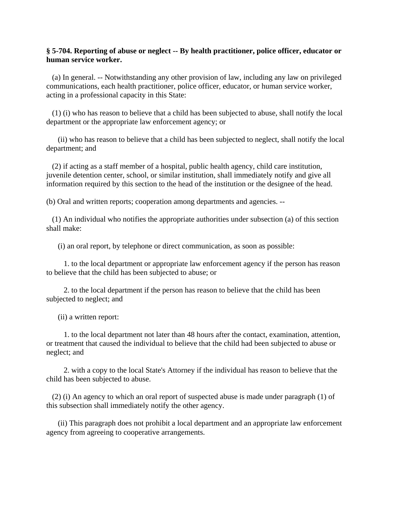## **§ 5-704. Reporting of abuse or neglect -- By health practitioner, police officer, educator or human service worker.**

 (a) In general. -- Notwithstanding any other provision of law, including any law on privileged communications, each health practitioner, police officer, educator, or human service worker, acting in a professional capacity in this State:

 (1) (i) who has reason to believe that a child has been subjected to abuse, shall notify the local department or the appropriate law enforcement agency; or

 (ii) who has reason to believe that a child has been subjected to neglect, shall notify the local department; and

 (2) if acting as a staff member of a hospital, public health agency, child care institution, juvenile detention center, school, or similar institution, shall immediately notify and give all information required by this section to the head of the institution or the designee of the head.

(b) Oral and written reports; cooperation among departments and agencies. --

 (1) An individual who notifies the appropriate authorities under subsection (a) of this section shall make:

(i) an oral report, by telephone or direct communication, as soon as possible:

 1. to the local department or appropriate law enforcement agency if the person has reason to believe that the child has been subjected to abuse; or

 2. to the local department if the person has reason to believe that the child has been subjected to neglect; and

(ii) a written report:

 1. to the local department not later than 48 hours after the contact, examination, attention, or treatment that caused the individual to believe that the child had been subjected to abuse or neglect; and

 2. with a copy to the local State's Attorney if the individual has reason to believe that the child has been subjected to abuse.

 (2) (i) An agency to which an oral report of suspected abuse is made under paragraph (1) of this subsection shall immediately notify the other agency.

 (ii) This paragraph does not prohibit a local department and an appropriate law enforcement agency from agreeing to cooperative arrangements.